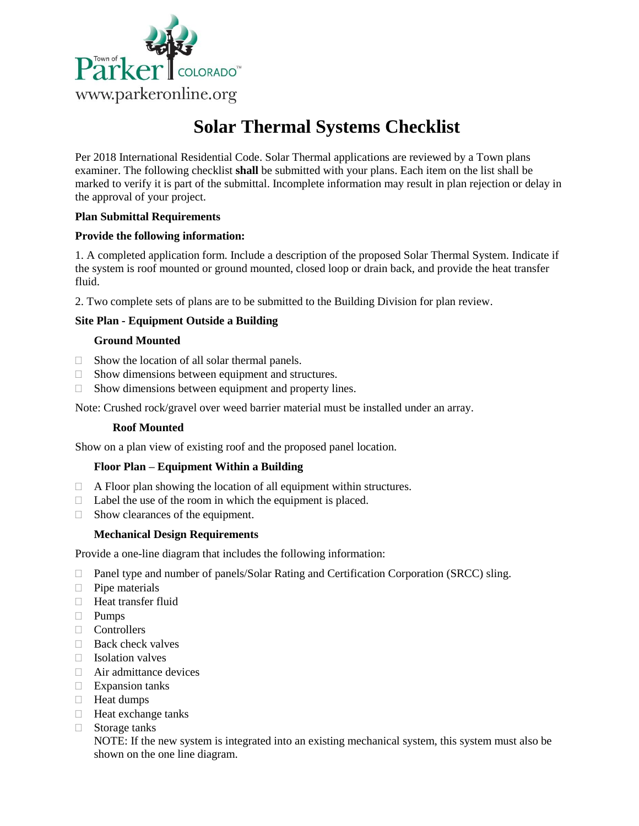

# **Solar Thermal Systems Checklist**

Per 2018 International Residential Code. Solar Thermal applications are reviewed by a Town plans examiner. The following checklist **shall** be submitted with your plans. Each item on the list shall be marked to verify it is part of the submittal. Incomplete information may result in plan rejection or delay in the approval of your project.

# **Plan Submittal Requirements**

# **Provide the following information:**

1. A completed application form. Include a description of the proposed Solar Thermal System. Indicate if the system is roof mounted or ground mounted, closed loop or drain back, and provide the heat transfer fluid.

2. Two complete sets of plans are to be submitted to the Building Division for plan review.

# **Site Plan - Equipment Outside a Building**

#### **Ground Mounted**

- $\Box$  Show the location of all solar thermal panels.
- $\Box$  Show dimensions between equipment and structures.
- $\Box$  Show dimensions between equipment and property lines.

Note: Crushed rock/gravel over weed barrier material must be installed under an array.

#### **Roof Mounted**

Show on a plan view of existing roof and the proposed panel location.

#### **Floor Plan – Equipment Within a Building**

- A Floor plan showing the location of all equipment within structures.
- $\Box$  Label the use of the room in which the equipment is placed.
- $\Box$  Show clearances of the equipment.

# **Mechanical Design Requirements**

Provide a one-line diagram that includes the following information:

- □ Panel type and number of panels/Solar Rating and Certification Corporation (SRCC) sling.
- $\Box$  Pipe materials
- **Heat transfer fluid**
- Pumps
- **Controllers**
- $\Box$  Back check valves
- $\Box$  Isolation valves
- Air admittance devices
- $\Box$  Expansion tanks
- **Heat dumps**
- $\Box$  Heat exchange tanks
- Storage tanks

NOTE: If the new system is integrated into an existing mechanical system, this system must also be shown on the one line diagram.